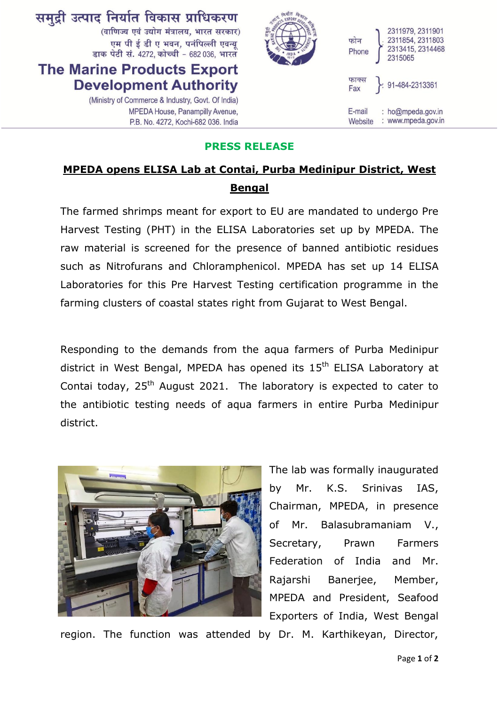

## **PRESS RELEASE**

## **MPEDA opens ELISA Lab at Contai, Purba Medinipur District, West Bengal**

The farmed shrimps meant for export to EU are mandated to undergo Pre Harvest Testing (PHT) in the ELISA Laboratories set up by MPEDA. The raw material is screened for the presence of banned antibiotic residues such as Nitrofurans and Chloramphenicol. MPEDA has set up 14 ELISA Laboratories for this Pre Harvest Testing certification programme in the farming clusters of coastal states right from Gujarat to West Bengal.

Responding to the demands from the aqua farmers of Purba Medinipur district in West Bengal, MPEDA has opened its 15<sup>th</sup> ELISA Laboratory at Contai today,  $25<sup>th</sup>$  August 2021. The laboratory is expected to cater to the antibiotic testing needs of aqua farmers in entire Purba Medinipur district.



The lab was formally inaugurated by Mr. K.S. Srinivas IAS, Chairman, MPEDA, in presence of Mr. Balasubramaniam V., Secretary, Prawn Farmers Federation of India and Mr. Rajarshi Banerjee, Member, MPEDA and President, Seafood Exporters of India, West Bengal

region. The function was attended by Dr. M. Karthikeyan, Director,